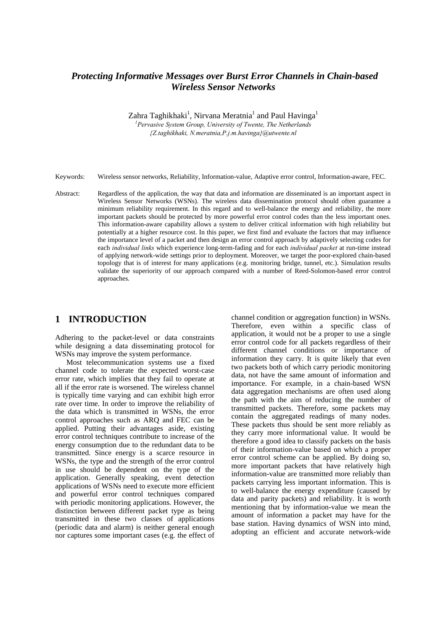# *Protecting Informative Messages over Burst Error Channels in Chain-based Wireless Sensor Networks*

Zahra Taghikhaki<sup>1</sup>, Nirvana Meratnia<sup>1</sup> and Paul Havinga<sup>1</sup>

*1 Pervasive System Group, University of Twente, The Netherlands {Z.taghikhaki, N.meratnia,P.j.m.havinga}@utwente.nl* 

Keywords: Wireless sensor networks, Reliability, Information-value, Adaptive error control, Information-aware, FEC.

Abstract: Regardless of the application, the way that data and information are disseminated is an important aspect in Wireless Sensor Networks (WSNs). The wireless data dissemination protocol should often guarantee a minimum reliability requirement. In this regard and to well-balance the energy and reliability, the more important packets should be protected by more powerful error control codes than the less important ones. This information-aware capability allows a system to deliver critical information with high reliability but potentially at a higher resource cost. In this paper, we first find and evaluate the factors that may influence the importance level of a packet and then design an error control approach by adaptively selecting codes for each *individual links* which experience long-term-fading and for each *individual packet* at run-time instead of applying network-wide settings prior to deployment. Moreover, we target the poor-explored chain-based topology that is of interest for many applications (e.g. monitoring bridge, tunnel, etc.). Simulation results validate the superiority of our approach compared with a number of Reed-Solomon-based error control approaches.

## **1 INTRODUCTION**

Adhering to the packet-level or data constraints while designing a data disseminating protocol for WSNs may improve the system performance.

Most telecommunication systems use a fixed channel code to tolerate the expected worst-case error rate, which implies that they fail to operate at all if the error rate is worsened. The wireless channel is typically time varying and can exhibit high error rate over time. In order to improve the reliability of the data which is transmitted in WSNs, the error control approaches such as ARQ and FEC can be applied. Putting their advantages aside, existing error control techniques contribute to increase of the energy consumption due to the redundant data to be transmitted. Since energy is a scarce resource in WSNs, the type and the strength of the error control in use should be dependent on the type of the application. Generally speaking, event detection applications of WSNs need to execute more efficient and powerful error control techniques compared with periodic monitoring applications. However, the distinction between different packet type as being transmitted in these two classes of applications (periodic data and alarm) is neither general enough nor captures some important cases (e.g. the effect of channel condition or aggregation function) in WSNs. Therefore, even within a specific class of application, it would not be a proper to use a single error control code for all packets regardless of their different channel conditions or importance of information they carry. It is quite likely that even two packets both of which carry periodic monitoring data, not have the same amount of information and importance. For example, in a chain-based WSN data aggregation mechanisms are often used along the path with the aim of reducing the number of transmitted packets. Therefore, some packets may contain the aggregated readings of many nodes. These packets thus should be sent more reliably as they carry more informational value. It would be therefore a good idea to classify packets on the basis of their information-value based on which a proper error control scheme can be applied. By doing so, more important packets that have relatively high information-value are transmitted more reliably than packets carrying less important information. This is to well-balance the energy expenditure (caused by data and parity packets) and reliability. It is worth mentioning that by information-value we mean the amount of information a packet may have for the base station. Having dynamics of WSN into mind, adopting an efficient and accurate network-wide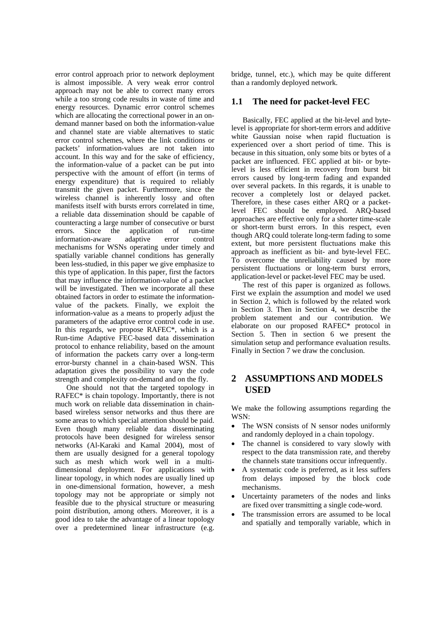error control approach prior to network deployment is almost impossible. A very weak error control approach may not be able to correct many errors while a too strong code results in waste of time and energy resources. Dynamic error control schemes which are allocating the correctional power in an ondemand manner based on both the information-value and channel state are viable alternatives to static error control schemes, where the link conditions or packets' information-values are not taken into account. In this way and for the sake of efficiency, the information-value of a packet can be put into perspective with the amount of effort (in terms of energy expenditure) that is required to reliably transmit the given packet. Furthermore, since the wireless channel is inherently lossy and often manifests itself with bursts errors correlated in time, a reliable data dissemination should be capable of counteracting a large number of consecutive or burst errors. Since the application of run-time information-aware adaptive error control mechanisms for WSNs operating under timely and spatially variable channel conditions has generally been less-studied, in this paper we give emphasize to this type of application. In this paper, first the factors that may influence the information-value of a packet will be investigated. Then we incorporate all these obtained factors in order to estimate the informationvalue of the packets. Finally, we exploit the information-value as a means to properly adjust the parameters of the adaptive error control code in use. In this regards, we propose RAFEC\*, which is a Run-time Adaptive FEC-based data dissemination protocol to enhance reliability, based on the amount of information the packets carry over a long-term error-bursty channel in a chain-based WSN. This adaptation gives the possibility to vary the code strength and complexity on-demand and on the fly.

One should not that the targeted topology in RAFEC\* is chain topology. Importantly, there is not much work on reliable data dissemination in chainbased wireless sensor networks and thus there are some areas to which special attention should be paid. Even though many reliable data disseminating protocols have been designed for wireless sensor networks (Al-Karaki and Kamal 2004), most of them are usually designed for a general topology such as mesh which work well in a multidimensional deployment. For applications with linear topology, in which nodes are usually lined up in one-dimensional formation, however, a mesh topology may not be appropriate or simply not feasible due to the physical structure or measuring point distribution, among others. Moreover, it is a good idea to take the advantage of a linear topology over a predetermined linear infrastructure (e.g.

bridge, tunnel, etc.), which may be quite different than a randomly deployed network.

#### **1.1 The need for packet-level FEC**

Basically, FEC applied at the bit-level and bytelevel is appropriate for short-term errors and additive white Gaussian noise when rapid fluctuation is experienced over a short period of time. This is because in this situation, only some bits or bytes of a packet are influenced. FEC applied at bit- or bytelevel is less efficient in recovery from burst bit errors caused by long-term fading and expanded over several packets. In this regards, it is unable to recover a completely lost or delayed packet. Therefore, in these cases either ARQ or a packetlevel FEC should be employed. ARQ-based approaches are effective only for a shorter time-scale or short-term burst errors. In this respect, even though ARQ could tolerate long-term fading to some extent, but more persistent fluctuations make this approach as inefficient as bit- and byte-level FEC. To overcome the unreliability caused by more persistent fluctuations or long-term burst errors, application-level or packet-level FEC may be used.

The rest of this paper is organized as follows. First we explain the assumption and model we used in Section 2, which is followed by the related work in Section 3. Then in Section 4, we describe the problem statement and our contribution. We elaborate on our proposed RAFEC\* protocol in Section 5. Then in section 6 we present the simulation setup and performance evaluation results. Finally in Section 7 we draw the conclusion.

# **2 ASSUMPTIONS AND MODELS USED**

We make the following assumptions regarding the WSN:

- The WSN consists of N sensor nodes uniformly and randomly deployed in a chain topology.
- The channel is considered to vary slowly with respect to the data transmission rate, and thereby the channels state transitions occur infrequently.
- A systematic code is preferred, as it less suffers from delays imposed by the block code mechanisms.
- Uncertainty parameters of the nodes and links are fixed over transmitting a single code-word.
- The transmission errors are assumed to be local and spatially and temporally variable, which in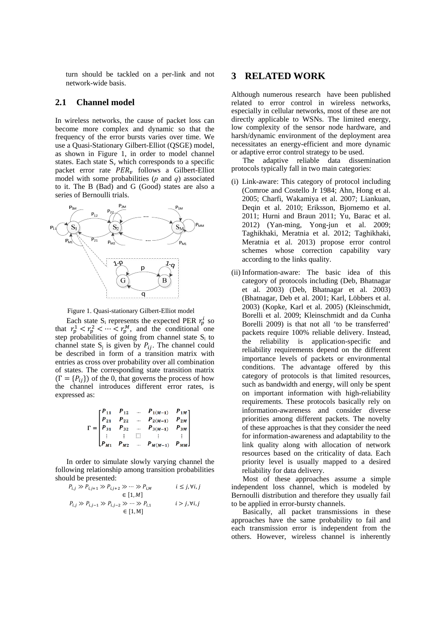turn should be tackled on a per-link and not network-wide basis.

### **2.1 Channel model**

In wireless networks, the cause of packet loss can become more complex and dynamic so that the frequency of the error bursts varies over time. We use a Quasi-Stationary Gilbert-Elliot (QSGE) model, as shown in Figure 1, in order to model channel states. Each state  $S_v$  which corresponds to a specific packet error rate  $PER<sub>v</sub>$  follows a Gilbert-Elliot model with some probabilities (*p* and *q*) associated to it. The B (Bad) and G (Good) states are also a series of Bernoulli trials.



Figure 1. Quasi-stationary Gilbert-Elliot model

Each state  $S_i$  represents the expected PER  $r_p^i$  so that  $r_p^1 < r_p^2 < \cdots < r_p^M$ , and the conditional one step probabilities of going from channel state  $S_i$  to channel state  $S_i$  is given by  $P_{ij}$ . The channel could be described in form of a transition matrix with entries as cross over probability over all combination of states. The corresponding state transition matrix  $(\Gamma = \{P_{ij}\})$  of the 0, that governs the process of how the channel introduces different error rates, is expressed as:

$$
\Gamma = \begin{bmatrix} P_{11} & P_{12} & \dots & P_{1(M-1)} & P_{1M} \\ P_{21} & P_{22} & \dots & P_{2(M-1)} & P_{2M} \\ P_{31} & P_{32} & \dots & P_{3(M-1)} & P_{3M} \\ \vdots & \vdots & \vdots & \vdots & \vdots \\ P_{M1} & P_{M2} & \dots & P_{M(M-1)} & P_{MM} \end{bmatrix}
$$

In order to simulate slowly varying channel the following relationship among transition probabilities should be presented:

$$
\begin{aligned} P_{i,j} &\gg P_{i,j+1} \gg P_{i,j+2} \gg \cdots \gg P_{i,M} &\quad i \leq j, \forall i,j \\ &\in [1,M] \\ P_{i,j} &\gg P_{i,j-1} \gg P_{i,j-2} \gg \cdots \gg P_{i,1} &\quad i > j, \forall i,j \\ &\in [1,M] \end{aligned}
$$

### **3 RELATED WORK**

Although numerous research have been published related to error control in wireless networks, especially in cellular networks, most of these are not directly applicable to WSNs. The limited energy, low complexity of the sensor node hardware, and harsh/dynamic environment of the deployment area necessitates an energy-efficient and more dynamic or adaptive error control strategy to be used.

The adaptive reliable data dissemination protocols typically fall in two main categories:

- (i) Link-aware: This category of protocol including (Comroe and Costello Jr 1984; Ahn, Hong et al. 2005; Charfi, Wakamiya et al. 2007; Liankuan, Deqin et al. 2010; Eriksson, Bjornemo et al. 2011; Hurni and Braun 2011; Yu, Barac et al. 2012) (Yan-ming, Yong-jun et al. 2009; Taghikhaki, Meratnia et al. 2012; Taghikhaki, Meratnia et al. 2013) propose error control schemes whose correction capability vary according to the links quality.
- (ii) Information-aware: The basic idea of this category of protocols including (Deb, Bhatnagar et al. 2003) (Deb, Bhatnagar et al. 2003) (Bhatnagar, Deb et al. 2001; Karl, Löbbers et al. 2003) (Kopke, Karl et al. 2005) (Kleinschmidt, Borelli et al. 2009; Kleinschmidt and da Cunha Borelli 2009) is that not all 'to be transferred' packets require 100% reliable delivery. Instead, the reliability is application-specific and reliability requirements depend on the different importance levels of packets or environmental conditions. The advantage offered by this category of protocols is that limited resources, such as bandwidth and energy, will only be spent on important information with high-reliability requirements. These protocols basically rely on information-awareness and consider diverse priorities among different packets. The novelty of these approaches is that they consider the need for information-awareness and adaptability to the link quality along with allocation of network resources based on the criticality of data. Each priority level is usually mapped to a desired reliability for data delivery.

Most of these approaches assume a simple independent loss channel, which is modeled by Bernoulli distribution and therefore they usually fail to be applied in error-bursty channels.

Basically, all packet transmissions in these approaches have the same probability to fail and each transmission error is independent from the others. However, wireless channel is inherently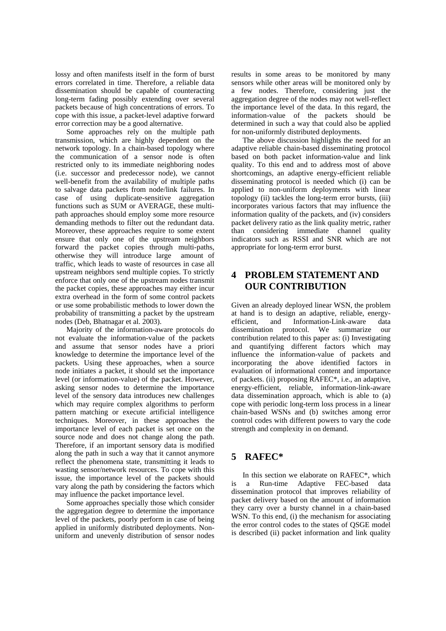lossy and often manifests itself in the form of burst errors correlated in time. Therefore, a reliable data dissemination should be capable of counteracting long-term fading possibly extending over several packets because of high concentrations of errors. To cope with this issue, a packet-level adaptive forward error correction may be a good alternative.

Some approaches rely on the multiple path transmission, which are highly dependent on the network topology. In a chain-based topology where the communication of a sensor node is often restricted only to its immediate neighboring nodes (i.e. successor and predecessor node), we cannot well-benefit from the availability of multiple paths to salvage data packets from node/link failures. In case of using duplicate-sensitive aggregation functions such as SUM or AVERAGE, these multipath approaches should employ some more resource demanding methods to filter out the redundant data. Moreover, these approaches require to some extent ensure that only one of the upstream neighbors forward the packet copies through multi-paths, otherwise they will introduce large amount of traffic, which leads to waste of resources in case all upstream neighbors send multiple copies. To strictly enforce that only one of the upstream nodes transmit the packet copies, these approaches may either incur extra overhead in the form of some control packets or use some probabilistic methods to lower down the probability of transmitting a packet by the upstream nodes (Deb, Bhatnagar et al. 2003).

Majority of the information-aware protocols do not evaluate the information-value of the packets and assume that sensor nodes have a priori knowledge to determine the importance level of the packets. Using these approaches, when a source node initiates a packet, it should set the importance level (or information-value) of the packet. However, asking sensor nodes to determine the importance level of the sensory data introduces new challenges which may require complex algorithms to perform pattern matching or execute artificial intelligence techniques. Moreover, in these approaches the importance level of each packet is set once on the source node and does not change along the path. Therefore, if an important sensory data is modified along the path in such a way that it cannot anymore reflect the phenomena state, transmitting it leads to wasting sensor/network resources. To cope with this issue, the importance level of the packets should vary along the path by considering the factors which may influence the packet importance level.

Some approaches specially those which consider the aggregation degree to determine the importance level of the packets, poorly perform in case of being applied in uniformly distributed deployments. Nonuniform and unevenly distribution of sensor nodes results in some areas to be monitored by many sensors while other areas will be monitored only by a few nodes. Therefore, considering just the aggregation degree of the nodes may not well-reflect the importance level of the data. In this regard, the information-value of the packets should be determined in such a way that could also be applied for non-uniformly distributed deployments.

The above discussion highlights the need for an adaptive reliable chain-based disseminating protocol based on both packet information-value and link quality. To this end and to address most of above shortcomings, an adaptive energy-efficient reliable disseminating protocol is needed which (i) can be applied to non-uniform deployments with linear topology (ii) tackles the long-term error bursts, (iii) incorporates various factors that may influence the information quality of the packets, and (iv) considers packet delivery ratio as the link quality metric, rather than considering immediate channel quality indicators such as RSSI and SNR which are not appropriate for long-term error burst.

# **4 PROBLEM STATEMENT AND OUR CONTRIBUTION**

Given an already deployed linear WSN, the problem at hand is to design an adaptive, reliable, energyefficient, and Information-Link-aware data dissemination protocol. We summarize our contribution related to this paper as: (i) Investigating and quantifying different factors which may influence the information-value of packets and incorporating the above identified factors in evaluation of informational content and importance of packets. (ii) proposing RAFEC\*, i.e., an adaptive, energy-efficient, reliable, information-link-aware data dissemination approach, which is able to (a) cope with periodic long-term loss process in a linear chain-based WSNs and (b) switches among error control codes with different powers to vary the code strength and complexity in on demand.

## **5 RAFEC\***

In this section we elaborate on RAFEC\*, which is a Run-time Adaptive FEC-based data dissemination protocol that improves reliability of packet delivery based on the amount of information they carry over a bursty channel in a chain-based WSN. To this end, (i) the mechanism for associating the error control codes to the states of QSGE model is described (ii) packet information and link quality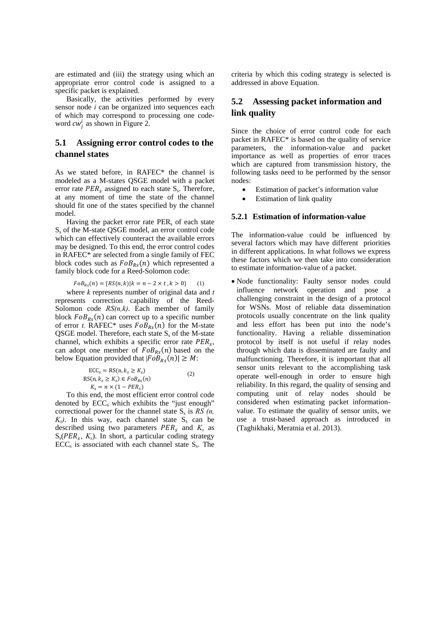are estimated and (iii) the strategy using which an appropriate error control code is assigned to a specific packet is explained.

Basically, the activities performed by every sensor node *i* can be organized into sequences each of which may correspond to processing one codeword  $cw_j^i$  as shown in Figure 2.

## **5.1 Assigning error control codes to the channel states**

As we stated before, in RAFEC\* the channel is modeled as a M-states QSGE model with a packet error rate  $PER_s$  assigned to each state  $S_s$ . Therefore, at any moment of time the state of the channel should fit one of the states specified by the channel model.

Having the packet error rate  $PER_s$  of each state Ss of the M-state QSGE model, an error control code which can effectively counteract the available errors may be designed. To this end, the error control codes in RAFEC\* are selected from a single family of FEC block codes such as  $FoB_{RS}(n)$  which represented a family block code for a Reed-Solomon code:

$$
FoB_{Rs}(n) = \{ RS(n,k) | k = n - 2 \times t, k > 0 \}
$$
 (1)

where *k* represents number of original data and *t* represents correction capability of the Reed-Solomon code *RS(n,k)*. Each member of family block  $FoB_{Rs}(n)$  can correct up to a specific number of error *t*. RAFEC\* uses  $FoB_{RS}(n)$  for the M-state QSGE model. Therefore, each state  $S_s$  of the M-state channel, which exhibits a specific error rate  $PER<sub>s</sub>$ , can adopt one member of  $F \circ B_{RS}(n)$  based on the below Equation provided that  $|FoB_{RS}(n)| \geq M$ :

$$
ECCs = RS(n, ks \ge Ks)
$$
  
RS(n, k<sub>s</sub> \ge K<sub>s</sub>)  $\in FoBRs(n)$   
K<sub>s</sub> = n \times (1 - PER<sub>s</sub>) (2)

To this end, the most efficient error control code denoted by  $ECC_s$  which exhibits the "just enough" correctional power for the channel state  $S_s$  is  $RS(n, \theta)$  $K_s$ ). In this way, each channel state  $S_s$  can be described using two parameters  $PER_s$  and  $K_s$  as  $S_s(PER_s, K_s)$ . In short, a particular coding strategy  $ECC<sub>s</sub>$  is associated with each channel state  $S<sub>s</sub>$ . The criteria by which this coding strategy is selected is addressed in above Equation.

## **5.2 Assessing packet information and link quality**

Since the choice of error control code for each packet in RAFEC\* is based on the quality of service parameters, the information-value and packet importance as well as properties of error traces which are captured from transmission history, the following tasks need to be performed by the sensor nodes:

- Estimation of packet's information value
- Estimation of link quality

#### **5.2.1 Estimation of information-value**

The information-value could be influenced by several factors which may have different priorities in different applications. In what follows we express these factors which we then take into consideration to estimate information-value of a packet.

 Node functionality: Faulty sensor nodes could influence network operation and pose a challenging constraint in the design of a protocol for WSNs. Most of reliable data dissemination protocols usually concentrate on the link quality and less effort has been put into the node's functionality. Having a reliable dissemination protocol by itself is not useful if relay nodes through which data is disseminated are faulty and malfunctioning. Therefore, it is important that all sensor units relevant to the accomplishing task operate well-enough in order to ensure high reliability. In this regard, the quality of sensing and computing unit of relay nodes should be considered when estimating packet informationvalue. To estimate the quality of sensor units, we use a trust-based approach as introduced in (Taghikhaki, Meratnia et al. 2013).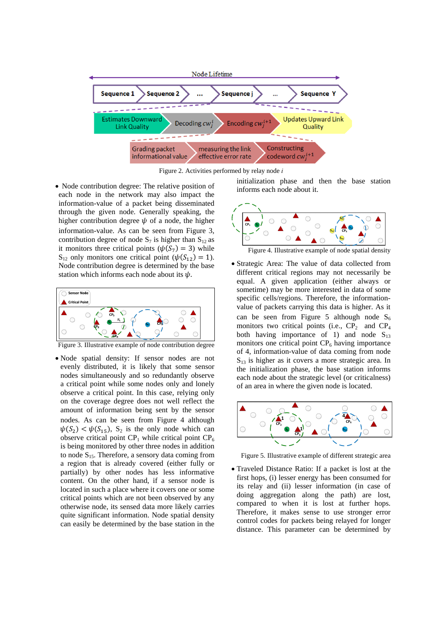

Figure 2. Activities performed by relay node *i*

• Node contribution degree: The relative position of each node in the network may also impact the information-value of a packet being disseminated through the given node. Generally speaking, the higher contribution degree  $\psi$  of a node, the higher information-value. As can be seen from Figure 3, contribution degree of node  $S_7$  is higher than  $S_{12}$  as it monitors three critical points ( $\psi(S_7) = 3$ ) while  $S_{12}$  only monitors one critical point ( $\psi(S_{12}) = 1$ ). Node contribution degree is determined by the base station which informs each node about its  $\psi$ .



Figure 3. Illustrative example of node contribution degree

 Node spatial density: If sensor nodes are not evenly distributed, it is likely that some sensor nodes simultaneously and so redundantly observe a critical point while some nodes only and lonely observe a critical point. In this case, relying only on the coverage degree does not well reflect the amount of information being sent by the sensor nodes. As can be seen from Figure 4 although  $\psi(S_2) < \psi(S_{15})$ ,  $S_2$  is the only node which can observe critical point  $CP_1$  while critical point  $CP_6$ is being monitored by other three nodes in addition to node  $S_{15}$ . Therefore, a sensory data coming from a region that is already covered (either fully or partially) by other nodes has less informative content. On the other hand, if a sensor node is located in such a place where it covers one or some critical points which are not been observed by any otherwise node, its sensed data more likely carries quite significant information. Node spatial density can easily be determined by the base station in the initialization phase and then the base station informs each node about it.



Figure 4. Illustrative example of node spatial density

 Strategic Area: The value of data collected from different critical regions may not necessarily be equal. A given application (either always or sometime) may be more interested in data of some specific cells/regions. Therefore, the informationvalue of packets carrying this data is higher. As it can be seen from Figure 5 although node  $S_6$ monitors two critical points (i.e.,  $CP_2$  and  $CP_4$ both having importance of 1) and node  $S_{13}$ monitors one critical point  $CP<sub>6</sub>$  having importance of 4, information-value of data coming from node  $S_{13}$  is higher as it covers a more strategic area. In the initialization phase, the base station informs each node about the strategic level (or criticalness) of an area in where the given node is located.



Figure 5. Illustrative example of different strategic area

 Traveled Distance Ratio: If a packet is lost at the first hops, (i) lesser energy has been consumed for its relay and (ii) lesser information (in case of doing aggregation along the path) are lost, compared to when it is lost at further hops. Therefore, it makes sense to use stronger error control codes for packets being relayed for longer distance. This parameter can be determined by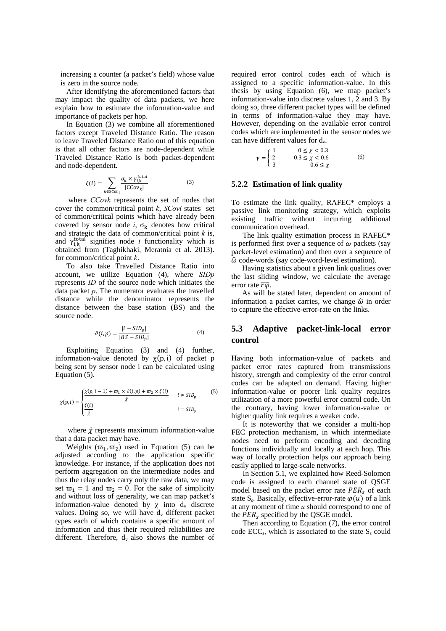increasing a counter (a packet's field) whose value is zero in the source node.

After identifying the aforementioned factors that may impact the quality of data packets, we here explain how to estimate the information-value and importance of packets per hop.

In Equation (3) we combine all aforementioned factors except Traveled Distance Ratio. The reason to leave Traveled Distance Ratio out of this equation is that all other factors are node-dependent while Traveled Distance Ratio is both packet-dependent and node-dependent.

$$
\xi(i) = \sum_{k \in \mathcal{SC}ov_i} \frac{\sigma_k \times \gamma_{i,k}^{total}}{|CCov_k|}
$$
 (3)

 where *CCovk* represents the set of nodes that cover the common/critical point *k*, *SCovi* states set of common/critical points which have already been covered by sensor node *i*,  $\sigma_k$  denotes how critical and strategic the data of common/critical point *k* is, and  $\gamma_{i,k}^{\text{total}}$  signifies node *i* functionality which is obtained from (Taghikhaki, Meratnia et al. 2013). for common/critical point *k*.

To also take Travelled Distance Ratio into account, we utilize Equation (4), where *SIDp* represents *ID* of the source node which initiates the data packet *p*. The numerator evaluates the travelled distance while the denominator represents the distance between the base station (BS) and the source node.

$$
\vartheta(i, p) = \frac{|i - SID_p|}{|BS - SID_p|} \tag{4}
$$

Exploiting Equation (3) and (4) further, information-value denoted by  $\chi(p, i)$  of packet p being sent by sensor node i can be calculated using Equation (5).

$$
\chi(p,i) = \begin{cases} \frac{\chi(p,i-1) + \varpi_1 \times \vartheta(i,p) + \varpi_2 \times \xi(i)}{\hat{\chi}} & i \neq SID_p \\ \frac{\xi(i)}{\hat{\chi}} & i = SID_p \end{cases} \tag{5}
$$

where  $\hat{\chi}$  represents maximum information-value that a data packet may have.

Weights  $(\varpi_1, \varpi_2)$  used in Equation (5) can be adjusted according to the application specific knowledge. For instance, if the application does not perform aggregation on the intermediate nodes and thus the relay nodes carry only the raw data, we may set  $\overline{\omega}_1 = 1$  and  $\overline{\omega}_2 = 0$ . For the sake of simplicity and without loss of generality, we can map packet's information-value denoted by  $\chi$  into  $d_v$  discrete values. Doing so, we will have  $d_v$  different packet types each of which contains a specific amount of information and thus their required reliabilities are different. Therefore,  $d_v$  also shows the number of required error control codes each of which is assigned to a specific information-value. In this thesis by using Equation (6), we map packet's information-value into discrete values 1, 2 and 3. By doing so, three different packet types will be defined in terms of information-value they may have. However, depending on the available error control codes which are implemented in the sensor nodes we can have different values for  $d_v$ .

$$
\gamma = \begin{cases} 1 & 0 \le \chi < 0.3 \\ 2 & 0.3 \le \chi < 0.6 \\ 3 & 0.6 \le \chi \end{cases}
$$
 (6)

#### **5.2.2 Estimation of link quality**

To estimate the link quality, RAFEC\* employs a passive link monitoring strategy, which exploits existing traffic without incurring additional communication overhead.

The link quality estimation process in RAFEC\* is performed first over a sequence of  $\omega$  packets (say packet-level estimation) and then over a sequence of  $\hat{\omega}$  code-words (say code-word-level estimation).

Having statistics about a given link qualities over the last sliding window, we calculate the average error rate  $\overline{r}\overline{\omega}$ .

As will be stated later, dependent on amount of information a packet carries, we change  $\hat{\omega}$  in order to capture the effective-error-rate on the links.

## **5.3 Adaptive packet-link-local error control**

Having both information-value of packets and packet error rates captured from transmissions history, strength and complexity of the error control codes can be adapted on demand. Having higher information-value or poorer link quality requires utilization of a more powerful error control code. On the contrary, having lower information-value or higher quality link requires a weaker code.

It is noteworthy that we consider a multi-hop FEC protection mechanism, in which intermediate nodes need to perform encoding and decoding functions individually and locally at each hop. This way of locally protection helps our approach being easily applied to large-scale networks.

In Section 5.1, we explained how Reed-Solomon code is assigned to each channel state of QSGE model based on the packet error rate  $PER_s$  of each state S<sub>s</sub>. Basically, effective-error-rate  $\varphi(u)$  of a link at any moment of time *u* should correspond to one of the  $PER_s$  specified by the QSGE model.

Then according to Equation (7), the error control code  $ECC_s$ , which is associated to the state  $S_s$  could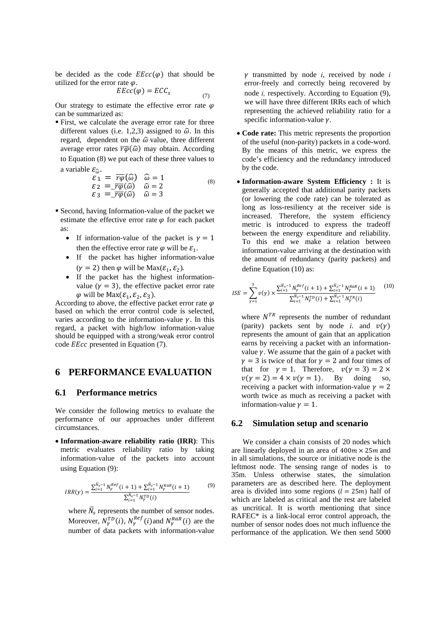be decided as the code  $EEc(c(\varphi))$  that should be utilized for the error rate  $\varphi$ .

$$
EEcc(\varphi) = ECC_s \tag{7}
$$

Our strategy to estimate the effective error rate  $\varphi$ can be summarized as:

 First, we calculate the average error rate for three different values (i.e. 1,2,3) assigned to  $\hat{\omega}$ . In this regard, dependent on the  $\hat{\omega}$  value, three different average error rates  $\overline{r\varphi}(\widehat{\omega})$  may obtain. According to Equation (8) we put each of these three values to a variable  $\varepsilon_{\hat{p}}$ .

$$
\varepsilon_1 = \overline{r\varphi}(\hat{\omega}) \quad \hat{\omega} = 1 \n\varepsilon_2 = \overline{r\varphi}(\hat{\omega}) \quad \hat{\omega} = 2 \n\varepsilon_3 = \overline{r\varphi}(\hat{\omega}) \quad \hat{\omega} = 3
$$
\n(8)

- Second, having Information-value of the packet we estimate the effective error rate  $\varphi$  for each packet as:
	- If information-value of the packet is  $\gamma = 1$ then the effective error rate  $\varphi$  will be  $\mathcal{E}_1$ .
	- If the packet has higher information-value  $(\gamma = 2)$  then  $\varphi$  will be Max $(\mathcal{E}_1, \mathcal{E}_2)$ .
	- If the packet has the highest informationvalue ( $\gamma = 3$ ), the effective packet error rate  $\varphi$  will be Max $(\varepsilon_1, \varepsilon_2, \varepsilon_3)$ .

According to above, the effective packet error rate  $\varphi$ based on which the error control code is selected, varies according to the information-value  $\gamma$ . In this regard, a packet with high/low information-value should be equipped with a strong/weak error control code *EEcc* presented in Equation (7).

## **6 PERFORMANCE EVALUATION**

#### **6.1 Performance metrics**

We consider the following metrics to evaluate the performance of our approaches under different circumstances.

 **Information-aware reliability ratio (IRR)**: This metric evaluates reliability ratio by taking information-value of the packets into account using Equation (9):

$$
IRR(\gamma) = \frac{\sum_{i=1}^{N_s-1} N_{\gamma}^{Ref}(i+1) + \sum_{i=1}^{N_s-1} N_{\gamma}^{RaR}(i+1)}{\sum_{i=1}^{N_s-1} N_{\gamma}^{TD}(i)}
$$
(9)

where  $\overline{N}_s$  represents the number of sensor nodes. Moreover,  $N_{\gamma}^{TD}(i)$ ,  $N_{\gamma}^{Ref}(i)$  and  $N_{\gamma}^{RaR}(i)$  are the number of data packets with information-value

 $\gamma$  transmitted by node *i*, received by node *i* error-freely and correctly being recovered by node *i,* respectively. According to Equation (9), we will have three different IRRs each of which representing the achieved reliability ratio for a specific information-value  $\nu$ .

- **Code rate:** This metric represents the proportion of the useful (non-parity) packets in a code-word. By the means of this metric, we express the code's efficiency and the redundancy introduced by the code.
- **Information-aware System Efficiency :** It is generally accepted that additional parity packets (or lowering the code rate) can be tolerated as long as loss-resiliency at the receiver side is increased. Therefore, the system efficiency metric is introduced to express the tradeoff between the energy expenditure and reliability. To this end we make a relation between information-value arriving at the destination with the amount of redundancy (parity packets) and define Equation (10) as:

$$
ISE = \sum_{\gamma=1}^{3} \nu(\gamma) \times \frac{\sum_{i=1}^{\overline{N}_{s}-1} N_{\gamma}^{Ref}(i+1) + \sum_{i=1}^{\overline{N}_{s}-1} N_{\gamma}^{RaR}(i+1)}{\sum_{i=1}^{\overline{N}_{s}-1} N_{\gamma}^{TP}(i) + \sum_{i=1}^{\overline{N}_{s}-1} N_{\gamma}^{TR}(i)}
$$
(10)

where  $N^{TR}$  represents the number of redundant (parity) packets sent by node *i*, and  $v(y)$ represents the amount of gain that an application earns by receiving a packet with an informationvalue  $\gamma$ . We assume that the gain of a packet with  $\gamma = 3$  is twice of that for  $\gamma = 2$  and four times of that for  $\gamma = 1$ . Therefore,  $v(\gamma = 3) = 2 \times$  $v(y = 2) = 4 \times v(y = 1)$ . By doing so, receiving a packet with information-value  $\nu = 2$ worth twice as much as receiving a packet with information-value  $\gamma = 1$ .

### **6.2 Simulation setup and scenario**

We consider a chain consists of 20 nodes which are linearly deployed in an area of  $400m \times 25m$  and in all simulations, the source or initiative node is the leftmost node. The sensing range of nodes is to 35m. Unless otherwise states, the simulation parameters are as described here. The deployment area is divided into some regions  $(l = 25m)$  half of which are labeled as critical and the rest are labeled as uncritical. It is worth mentioning that since RAFEC\* is a link-local error control approach, the number of sensor nodes does not much influence the performance of the application. We then send 5000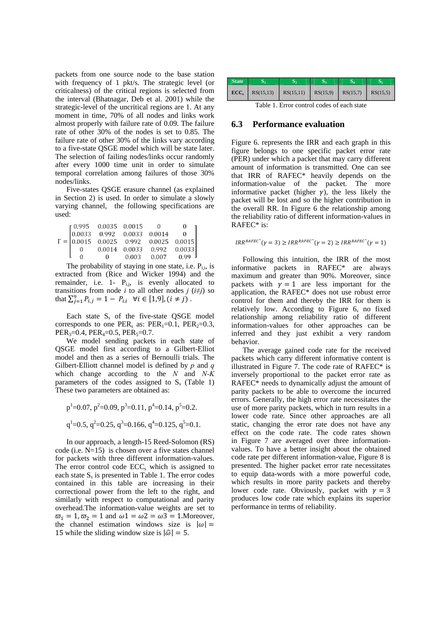packets from one source node to the base station with frequency of 1 pkt/s. The strategic level (or criticalness) of the critical regions is selected from the interval (Bhatnagar, Deb et al. 2001) while the strategic-level of the uncritical regions are 1. At any moment in time, 70% of all nodes and links work almost properly with failure rate of 0.09. The failure rate of other 30% of the nodes is set to 0.85. The failure rate of other 30% of the links vary according to a five-state QSGE model which will be state later. The selection of failing nodes/links occur randomly after every 1000 time unit in order to simulate temporal correlation among failures of those 30% nodes/links.

Five-states QSGE erasure channel (as explained in Section 2) is used. In order to simulate a slowly varying channel, the following specifications are used:

|  | $\int$ 0.995 0.0035 0.0015 |       |                                    |                                                                                                                            |
|--|----------------------------|-------|------------------------------------|----------------------------------------------------------------------------------------------------------------------------|
|  |                            |       |                                    | $\Gamma = \begin{bmatrix} 0.0033 & 0.992 & 0.0033 & 0.0014 & 0 \\ 0.0015 & 0.0025 & 0.992 & 0.0025 & 0.0015 \end{bmatrix}$ |
|  |                            |       |                                    |                                                                                                                            |
|  |                            |       | $0.0014$ $0.0033$ $0.992$ $0.0033$ |                                                                                                                            |
|  |                            | 0.003 | 0.007                              | 0.99                                                                                                                       |

The probability of staying in one state, i.e.  $P_{i,i}$ , is extracted from (Rice and Wicker 1994) and the remainder, i.e. 1-  $P_{i,j}$ , is evenly allocated to transitions from node *i* to all other nodes *j* ( $i \neq j$ ) so that  $\sum_{j=1}^{9} P_{i,j} = 1 - P_{i,i}$   $\forall i \in [1,9], (i \neq j)$ .

Each state  $S_s$  of the five-state QSGE model corresponds to one PER<sub>s</sub> as: PER<sub>1</sub>=0.1, PER<sub>2</sub>=0.3,  $PER<sub>3</sub>=0.4, PER<sub>4</sub>=0.5, PER<sub>5</sub>=0.7.$ 

We model sending packets in each state of QSGE model first according to a Gilbert-Elliot model and then as a series of Bernoulli trials. The Gilbert-Elliott channel model is defined by *p* and *q* which change according to the *N* and *N-K*  parameters of the codes assigned to  $S_s$  (Table 1) These two parameters are obtained as:

$$
p^1
$$
=0.07,  $p^2$ =0.09,  $p^3$ =0.11,  $p^4$ =0.14,  $p^5$ =0.2.  
 $q^1$ =0.5,  $q^2$ =0.25,  $q^3$ =0.166,  $q^4$ =0.125,  $q^5$ =0.1.

In our approach, a length-15 Reed-Solomon (RS) code (i.e.  $N=15$ ) is chosen over a five states channel for packets with three different information-values. The error control code  $ECC<sub>s</sub>$  which is assigned to each state  $S_s$  is presented in Table 1. The error codes contained in this table are increasing in their correctional power from the left to the right, and similarly with respect to computational and parity overhead.The information-value weights are set to  $\overline{\omega}_1 = 1$ ,  $\overline{\omega}_2 = 1$  and  $\omega_1 = \omega_2 = \omega_3 = 1$ . Moreover, the channel estimation windows size is  $|\omega|$  = 15 while the sliding window size is  $|\hat{\omega}| = 5$ .

| <b>State</b>                               |           |           |          |          |          |  |  |  |  |
|--------------------------------------------|-----------|-----------|----------|----------|----------|--|--|--|--|
| $\text{ECC}_s$                             | RS(15,13) | RS(15.11) | RS(15.9) | RS(15,7) | RS(15,5) |  |  |  |  |
| Table 1. Error control codes of each state |           |           |          |          |          |  |  |  |  |

#### **6.3 Performance evaluation**

 Figure 6. represents the IRR and each graph in this figure belongs to one specific packet error rate (PER) under which a packet that may carry different amount of information is transmitted. One can see that IRR of RAFEC\* heavily depends on the information-value of the packet. The more informative packet (higher  $\gamma$ ), the less likely the packet will be lost and so the higher contribution in the overall RR. In Figure 6 the relationship among the reliability ratio of different information-values in RAFEC\* is:

$$
IRR^{RAFEC^*}(\gamma = 3) \geq IRR^{RAFEC^*}(\gamma = 2) \geq IRR^{RAFEC^*}(\gamma = 1)
$$

Following this intuition, the IRR of the most informative packets in RAFEC\* are always maximum and greater than 90%. Moreover, since packets with  $\gamma = 1$  are less important for the application, the RAFEC\* does not use robust error control for them and thereby the IRR for them is relatively low. According to Figure 6, no fixed relationship among reliability ratio of different information-values for other approaches can be inferred and they just exhibit a very random behavior.

The average gained code rate for the received packets which carry different informative content is illustrated in Figure 7. The code rate of RAFEC\* is inversely proportional to the packet error rate as RAFEC\* needs to dynamically adjust the amount of parity packets to be able to overcome the incurred errors. Generally, the high error rate necessitates the use of more parity packets, which in turn results in a lower code rate. Since other approaches are all static, changing the error rate does not have any effect on the code rate. The code rates shown in Figure 7 are averaged over three informationvalues. To have a better insight about the obtained code rate per different information-value, Figure 8 is presented. The higher packet error rate necessitates to equip data-words with a more powerful code, which results in more parity packets and thereby lower code rate. Obviously, packet with  $\gamma = 3$ produces low code rate which explains its superior performance in terms of reliability.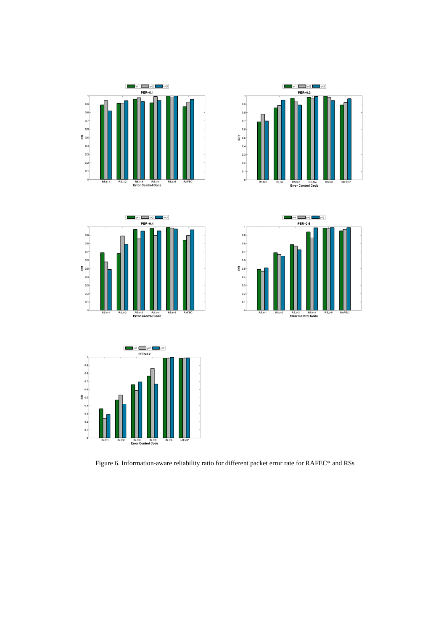











Figure 6. Information-aware reliability ratio for different packet error rate for RAFEC\* and RSs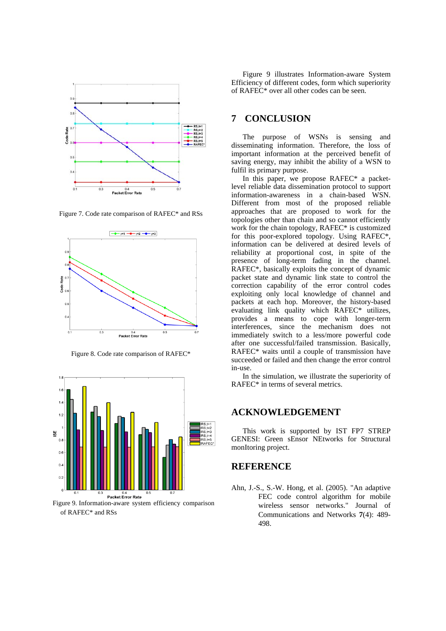

Figure 7. Code rate comparison of RAFEC\* and RSs



Figure 8. Code rate comparison of RAFEC\*



Figure 9. Information-aware system efficiency comparison of RAFEC\* and RSs

Figure 9 illustrates Information-aware System Efficiency of different codes, form which superiority of RAFEC\* over all other codes can be seen.

## **7 CONCLUSION**

The purpose of WSNs is sensing and disseminating information. Therefore, the loss of important information at the perceived benefit of saving energy, may inhibit the ability of a WSN to fulfil its primary purpose.

In this paper, we propose RAFEC\* a packetlevel reliable data dissemination protocol to support information-awareness in a chain-based WSN. Different from most of the proposed reliable approaches that are proposed to work for the topologies other than chain and so cannot efficiently work for the chain topology, RAFEC\* is customized for this poor-explored topology. Using RAFEC\*, information can be delivered at desired levels of reliability at proportional cost, in spite of the presence of long-term fading in the channel. RAFEC\*, basically exploits the concept of dynamic packet state and dynamic link state to control the correction capability of the error control codes exploiting only local knowledge of channel and packets at each hop. Moreover, the history-based evaluating link quality which RAFEC\* utilizes, provides a means to cope with longer-term interferences, since the mechanism does not immediately switch to a less/more powerful code after one successful/failed transmission. Basically, RAFEC\* waits until a couple of transmission have succeeded or failed and then change the error control in-use.

In the simulation, we illustrate the superiority of RAFEC\* in terms of several metrics.

### **ACKNOWLEDGEMENT**

This work is supported by IST FP7 STREP GENESI: Green sEnsor NEtworks for Structural monItoring project.

## **REFERENCE**

Ahn, J.-S., S.-W. Hong, et al. (2005). "An adaptive FEC code control algorithm for mobile wireless sensor networks." Journal of Communications and Networks **7**(4): 489- 498.